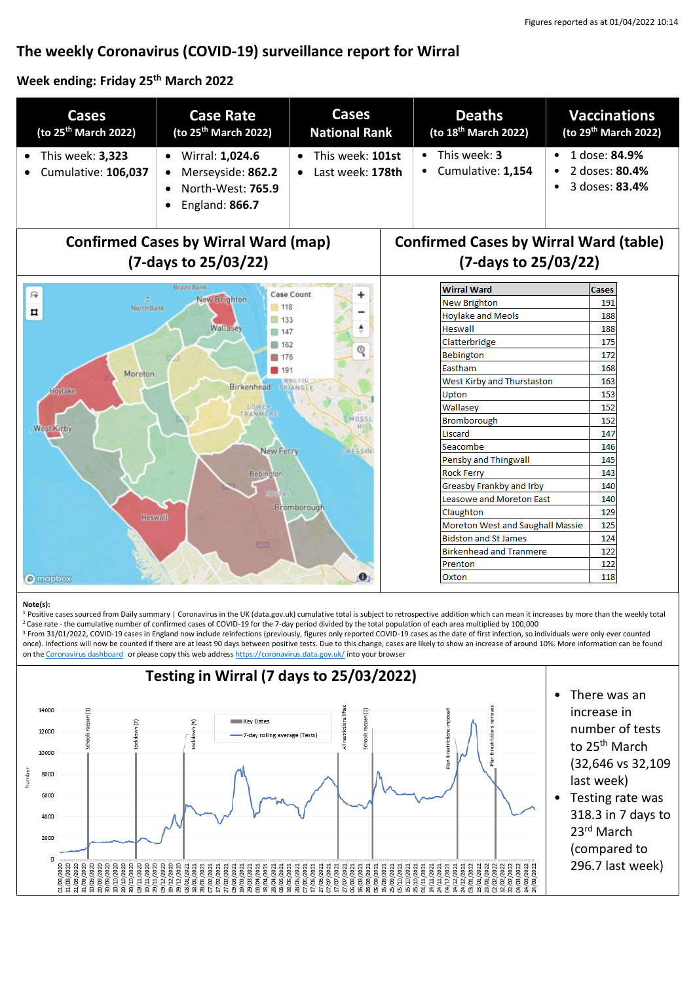# **The weekly Coronavirus (COVID-19) surveillance report for Wirral**

# **Week ending: Friday 25th March 2022**

| <b>Cases</b><br>(to 25 <sup>th</sup> March 2022)                                                                                                                                                                                                                                                            | <b>Case Rate</b><br>(to 25 <sup>th</sup> March 2022)                                                               | <b>Cases</b><br><b>National Rank</b> | <b>Deaths</b><br>(to 18 <sup>th</sup> March 2022)                                                                                                                                                                                                                                                                                                                                                                                                                                                                             | <b>Vaccinations</b><br>(to 29 <sup>th</sup> March 2022)        |
|-------------------------------------------------------------------------------------------------------------------------------------------------------------------------------------------------------------------------------------------------------------------------------------------------------------|--------------------------------------------------------------------------------------------------------------------|--------------------------------------|-------------------------------------------------------------------------------------------------------------------------------------------------------------------------------------------------------------------------------------------------------------------------------------------------------------------------------------------------------------------------------------------------------------------------------------------------------------------------------------------------------------------------------|----------------------------------------------------------------|
| This week: 3,323<br>Cumulative: 106,037                                                                                                                                                                                                                                                                     | Wirral: 1,024.6<br>$\bullet$<br>Merseyside: 862.2<br>$\bullet$<br>North-West: 765.9<br>England: 866.7<br>$\bullet$ | This week: 101st<br>Last week: 178th | This week: 3<br>Cumulative: 1,154                                                                                                                                                                                                                                                                                                                                                                                                                                                                                             | 1 dose: 84.9%<br>$\bullet$<br>2 doses: 80.4%<br>3 doses: 83.4% |
| <b>Confirmed Cases by Wirral Ward (table)</b><br><b>Confirmed Cases by Wirral Ward (map)</b><br>(7-days to 25/03/22)<br>(7-days to 25/03/22)                                                                                                                                                                |                                                                                                                    |                                      |                                                                                                                                                                                                                                                                                                                                                                                                                                                                                                                               |                                                                |
| Brazil Bank<br>曱<br>Case Count<br>New Brighton<br>٤<br>118<br>North Bank<br>п<br>133<br>Wallasey<br>147<br>162<br>୧<br>■ 176<br>191<br>Moreton<br>Birkenhead<br>IRIANGLE<br>Hoylake.<br>LOWER<br>RANMERE<br>MOSSI<br>HIE<br>West Kirby<br>New Ferry<br><b>RESSIN</b><br>Bebington<br>Bromborough<br>Heswall |                                                                                                                    |                                      | <b>Wirral Ward</b><br>Cases<br><b>New Brighton</b><br>191<br><b>Hoylake and Meols</b><br>188<br>Heswall<br>188<br>Clatterbridge<br>175<br><b>Bebington</b><br>172<br>Eastham<br>168<br>West Kirby and Thurstaston<br>163<br>Upton<br>153<br>Wallasey<br>152<br>Bromborough<br>152<br>Liscard<br>147<br>Seacombe<br>146<br>Pensby and Thingwall<br>145<br><b>Rock Ferry</b><br>143<br>Greasby Frankby and Irby<br>140<br><b>Leasowe and Moreton East</b><br>140<br>129<br>Claughton<br>Moreton West and Saughall Massie<br>125 |                                                                |
| <b>O</b> mapbox                                                                                                                                                                                                                                                                                             | EIEEE                                                                                                              | Θ.                                   | <b>Bidston and St James</b><br><b>Birkenhead and Tranmere</b><br>Prenton<br>Oxton                                                                                                                                                                                                                                                                                                                                                                                                                                             | 124<br>122<br>122<br>118                                       |

#### **Note(s):**

<sup>1</sup> Positive cases sourced from Daily summary | Coronavirus in the UK (data.gov.uk) cumulative total is subject to retrospective addition which can mean it increases by more than the weekly total <sup>2</sup> Case rate - the cumulative number of confirmed cases of COVID-19 for the 7-day period divided by the total population of each area multiplied by 100,000

<sup>3</sup> From 31/01/2022, COVID-19 cases in England now include reinfections (previously, figures only reported COVID-19 cases as the date of first infection, so individuals were only ever counted once). Infections will now be counted if there are at least 90 days between positive tests. Due to this change, cases are likely to show an increase of around 10%. More information can be found on the [Coronavirus dashboard](https://coronavirus.data.gov.uk/details/whats-new/record/af008739-ffa3-47b8-8efc-ef109f2cfbdd) or please copy this web addres[s https://coronavirus.data.gov.uk/](https://coronavirus.data.gov.uk/) into your browser

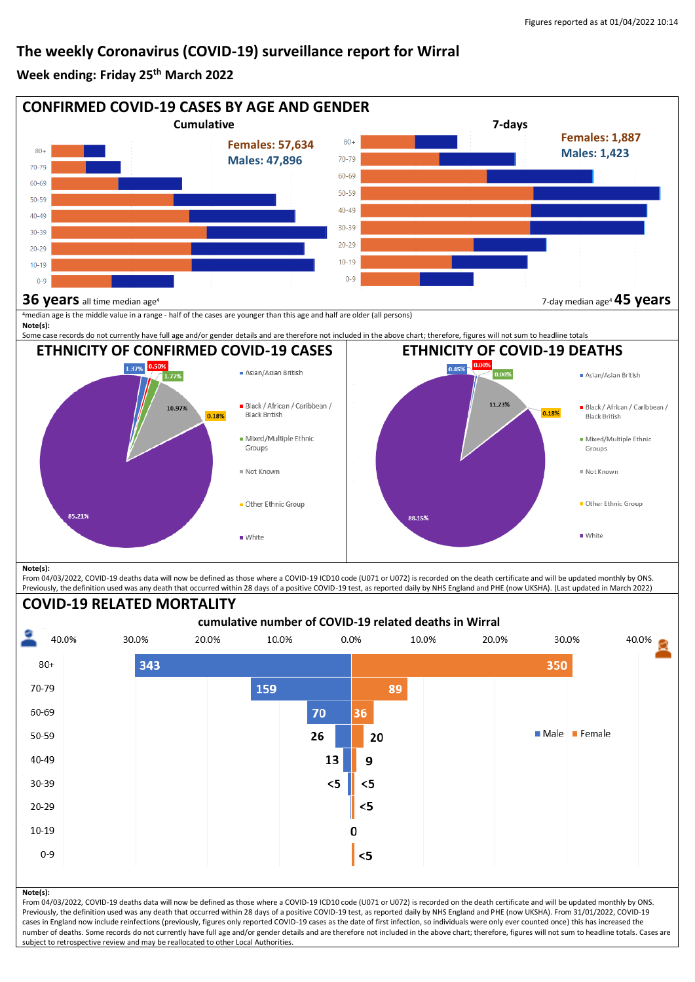# **The weekly Coronavirus (COVID-19) surveillance report for Wirral**

#### **Week ending: Friday 25th March 2022**



From 04/03/2022, COVID-19 deaths data will now be defined as those where a COVID-19 ICD10 code (U071 or U072) is recorded on the death certificate and will be updated monthly by ONS. Previously, the definition used was any death that occurred within 28 days of a positive COVID-19 test, as reported daily by NHS England and PHE (now UKSHA). (Last updated in March 2022)

## **COVID-19 RELATED MORTALITY**



From 04/03/2022, COVID-19 deaths data will now be defined as those where a COVID-19 ICD10 code (U071 or U072) is recorded on the death certificate and will be updated monthly by ONS. Previously, the definition used was any death that occurred within 28 days of a positive COVID-19 test, as reported daily by NHS England and PHE (now UKSHA). From 31/01/2022, COVID-19 cases in England now include reinfections (previously, figures only reported COVID-19 cases as the date of first infection, so individuals were only ever counted once) this has increased the number of deaths. Some records do not currently have full age and/or gender details and are therefore not included in the above chart; therefore, figures will not sum to headline totals. Cases are subject to retrospective review and may be reallocated to other Local Authorities.